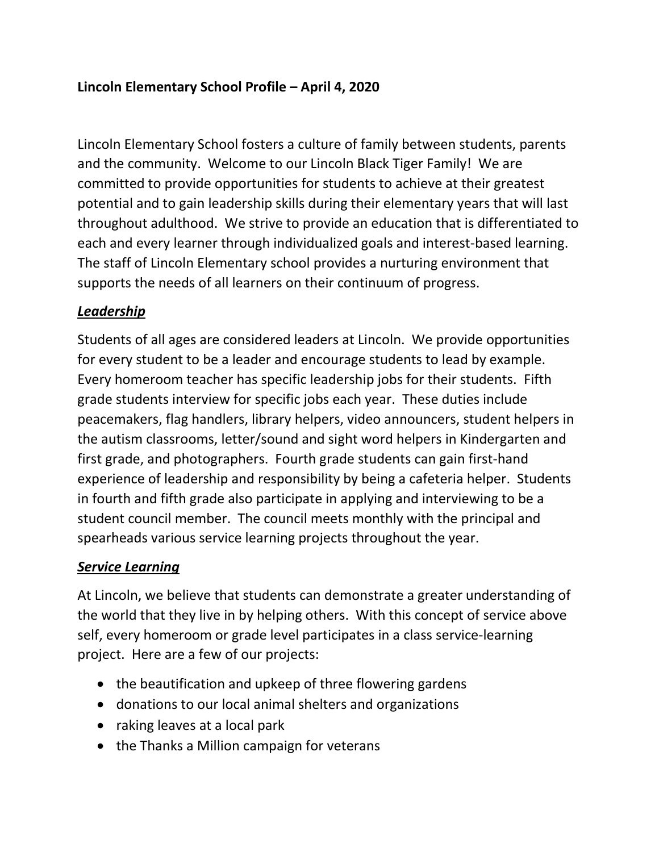Lincoln Elementary School fosters a culture of family between students, parents and the community. Welcome to our Lincoln Black Tiger Family! We are committed to provide opportunities for students to achieve at their greatest potential and to gain leadership skills during their elementary years that will last throughout adulthood. We strive to provide an education that is differentiated to each and every learner through individualized goals and interest-based learning. The staff of Lincoln Elementary school provides a nurturing environment that supports the needs of all learners on their continuum of progress.

## *Leadership*

Students of all ages are considered leaders at Lincoln. We provide opportunities for every student to be a leader and encourage students to lead by example. Every homeroom teacher has specific leadership jobs for their students. Fifth grade students interview for specific jobs each year. These duties include peacemakers, flag handlers, library helpers, video announcers, student helpers in the autism classrooms, letter/sound and sight word helpers in Kindergarten and first grade, and photographers. Fourth grade students can gain first-hand experience of leadership and responsibility by being a cafeteria helper. Students in fourth and fifth grade also participate in applying and interviewing to be a student council member. The council meets monthly with the principal and spearheads various service learning projects throughout the year.

# *Service Learning*

At Lincoln, we believe that students can demonstrate a greater understanding of the world that they live in by helping others. With this concept of service above self, every homeroom or grade level participates in a class service-learning project. Here are a few of our projects:

- the beautification and upkeep of three flowering gardens
- donations to our local animal shelters and organizations
- raking leaves at a local park
- the Thanks a Million campaign for veterans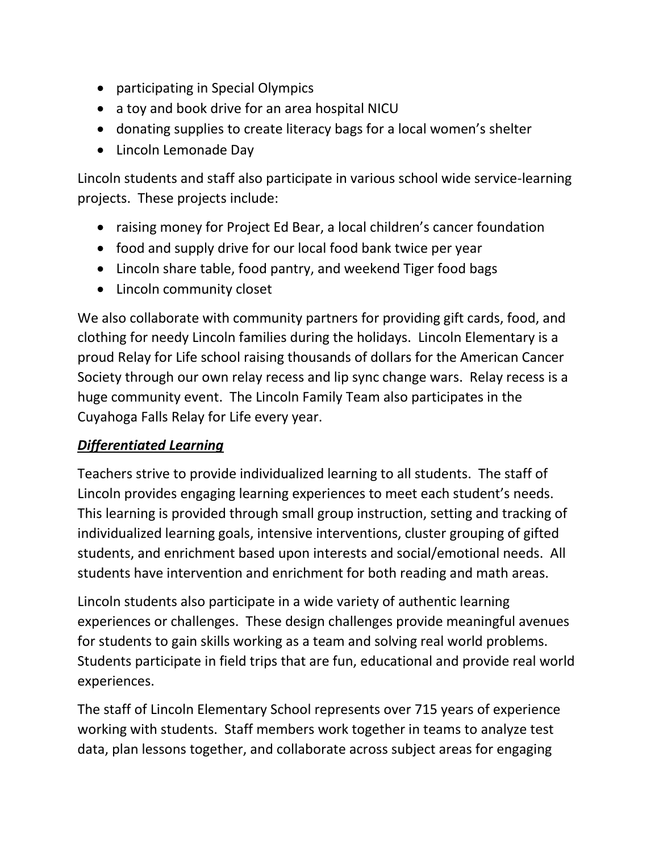- participating in Special Olympics
- a toy and book drive for an area hospital NICU
- donating supplies to create literacy bags for a local women's shelter
- Lincoln Lemonade Day

Lincoln students and staff also participate in various school wide service-learning projects. These projects include:

- raising money for Project Ed Bear, a local children's cancer foundation
- food and supply drive for our local food bank twice per year
- Lincoln share table, food pantry, and weekend Tiger food bags
- Lincoln community closet

We also collaborate with community partners for providing gift cards, food, and clothing for needy Lincoln families during the holidays. Lincoln Elementary is a proud Relay for Life school raising thousands of dollars for the American Cancer Society through our own relay recess and lip sync change wars. Relay recess is a huge community event. The Lincoln Family Team also participates in the Cuyahoga Falls Relay for Life every year.

### *Differentiated Learning*

Teachers strive to provide individualized learning to all students. The staff of Lincoln provides engaging learning experiences to meet each student's needs. This learning is provided through small group instruction, setting and tracking of individualized learning goals, intensive interventions, cluster grouping of gifted students, and enrichment based upon interests and social/emotional needs. All students have intervention and enrichment for both reading and math areas.

Lincoln students also participate in a wide variety of authentic learning experiences or challenges. These design challenges provide meaningful avenues for students to gain skills working as a team and solving real world problems. Students participate in field trips that are fun, educational and provide real world experiences.

The staff of Lincoln Elementary School represents over 715 years of experience working with students. Staff members work together in teams to analyze test data, plan lessons together, and collaborate across subject areas for engaging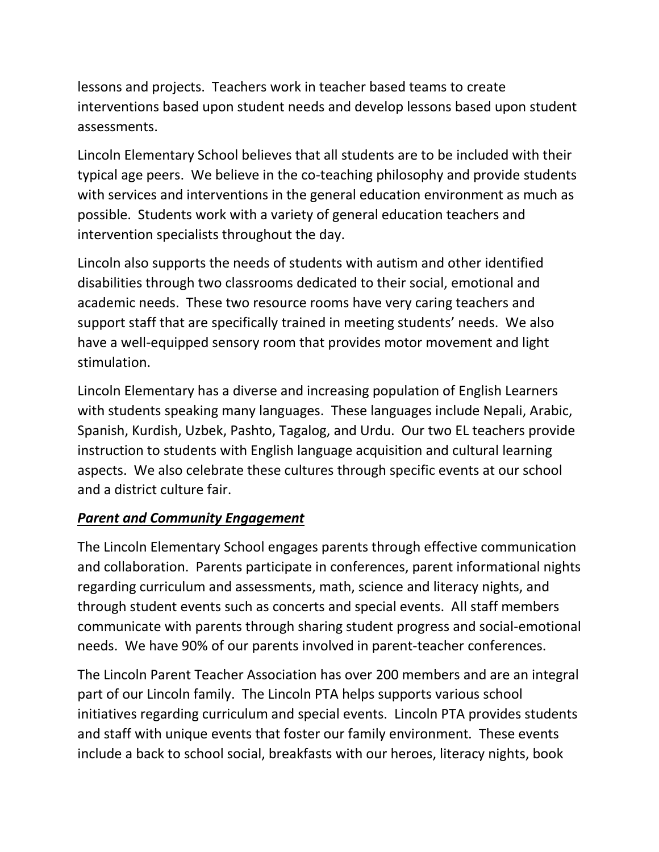lessons and projects. Teachers work in teacher based teams to create interventions based upon student needs and develop lessons based upon student assessments.

Lincoln Elementary School believes that all students are to be included with their typical age peers. We believe in the co-teaching philosophy and provide students with services and interventions in the general education environment as much as possible. Students work with a variety of general education teachers and intervention specialists throughout the day.

Lincoln also supports the needs of students with autism and other identified disabilities through two classrooms dedicated to their social, emotional and academic needs. These two resource rooms have very caring teachers and support staff that are specifically trained in meeting students' needs. We also have a well-equipped sensory room that provides motor movement and light stimulation.

Lincoln Elementary has a diverse and increasing population of English Learners with students speaking many languages. These languages include Nepali, Arabic, Spanish, Kurdish, Uzbek, Pashto, Tagalog, and Urdu. Our two EL teachers provide instruction to students with English language acquisition and cultural learning aspects. We also celebrate these cultures through specific events at our school and a district culture fair.

### *Parent and Community Engagement*

The Lincoln Elementary School engages parents through effective communication and collaboration. Parents participate in conferences, parent informational nights regarding curriculum and assessments, math, science and literacy nights, and through student events such as concerts and special events. All staff members communicate with parents through sharing student progress and social-emotional needs. We have 90% of our parents involved in parent-teacher conferences.

The Lincoln Parent Teacher Association has over 200 members and are an integral part of our Lincoln family. The Lincoln PTA helps supports various school initiatives regarding curriculum and special events. Lincoln PTA provides students and staff with unique events that foster our family environment. These events include a back to school social, breakfasts with our heroes, literacy nights, book